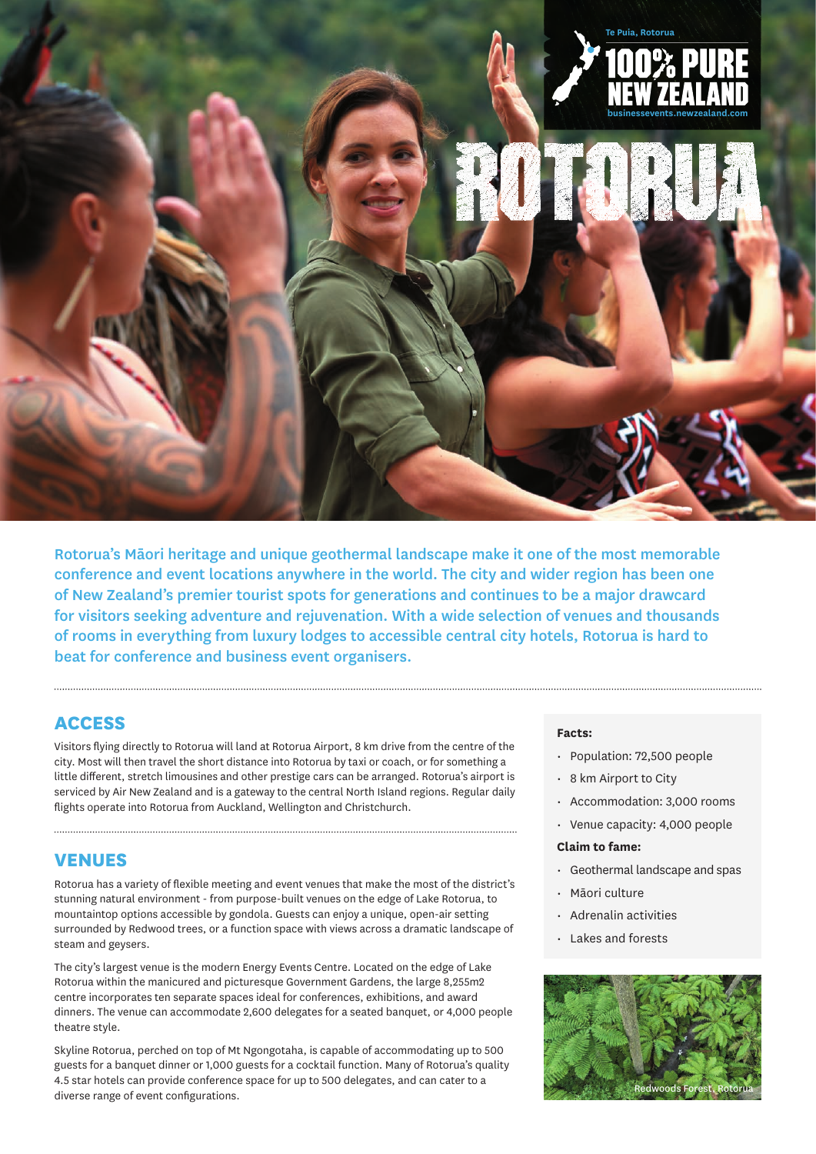

Rotorua's Māori heritage and unique geothermal landscape make it one of the most memorable conference and event locations anywhere in the world. The city and wider region has been one of New Zealand's premier tourist spots for generations and continues to be a major drawcard for visitors seeking adventure and rejuvenation. With a wide selection of venues and thousands of rooms in everything from luxury lodges to accessible central city hotels, Rotorua is hard to beat for conference and business event organisers.

# **ACCESS**

Visitors flying directly to Rotorua will land at Rotorua Airport, 8 km drive from the centre of the city. Most will then travel the short distance into Rotorua by taxi or coach, or for something a little different, stretch limousines and other prestige cars can be arranged. Rotorua's airport is serviced by Air New Zealand and is a gateway to the central North Island regions. Regular daily flights operate into Rotorua from Auckland, Wellington and Christchurch.

### **VENUES**

Rotorua has a variety of flexible meeting and event venues that make the most of the district's stunning natural environment - from purpose-built venues on the edge of Lake Rotorua, to mountaintop options accessible by gondola. Guests can enjoy a unique, open-air setting surrounded by Redwood trees, or a function space with views across a dramatic landscape of steam and geysers.

The city's largest venue is the modern Energy Events Centre. Located on the edge of Lake Rotorua within the manicured and picturesque Government Gardens, the large 8,255m2 centre incorporates ten separate spaces ideal for conferences, exhibitions, and award dinners. The venue can accommodate 2,600 delegates for a seated banquet, or 4,000 people theatre style.

Skyline Rotorua, perched on top of Mt Ngongotaha, is capable of accommodating up to 500 guests for a banquet dinner or 1,000 guests for a cocktail function. Many of Rotorua's quality 4.5 star hotels can provide conference space for up to 500 delegates, and can cater to a diverse range of event configurations.

#### **Facts:**

- Population: 72,500 people
- 8 km Airport to City
- Accommodation: 3,000 rooms
- Venue capacity: 4,000 people

#### **Claim to fame:**

- Geothermal landscape and spas
- Māori culture
- Adrenalin activities
- Lakes and forests